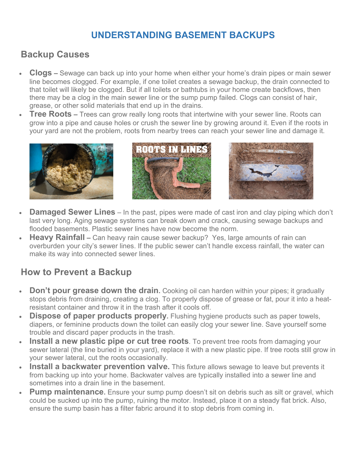## **UNDERSTANDING BASEMENT BACKUPS**

## **Backup Causes**

- **Clogs –** Sewage can back up into your home when either your home's drain pipes or main sewer line becomes clogged. For example, if one toilet creates a sewage backup, the drain connected to that toilet will likely be clogged. But if all toilets or bathtubs in your home create backflows, then there may be a clog in the main sewer line or the sump pump failed. Clogs can consist of hair, grease, or other solid materials that end up in the drains.
- **Tree Roots –** Trees can grow really long roots that intertwine with your sewer line. Roots can grow into a pipe and cause holes or crush the sewer line by growing around it. Even if the roots in your yard are not the problem, roots from nearby trees can reach your sewer line and damage it.







- **Damaged Sewer Lines** In the past, pipes were made of cast iron and clay piping which don't last very long. Aging sewage systems can break down and crack, causing sewage backups and flooded basements. Plastic sewer lines have now become the norm.
- **Heavy Rainfall –** Can heavy rain cause sewer backup? Yes, large amounts of rain can overburden your city's sewer lines. If the public sewer can't handle excess rainfall, the water can make its way into connected sewer lines.

## **How to Prevent a Backup**

- **Don't pour grease down the drain.** Cooking oil can harden within your pipes; it gradually stops debris from draining, creating a clog. To properly dispose of grease or fat, pour it into a heatresistant container and throw it in the trash after it cools off.
- **Dispose of paper products properly.** Flushing hygiene products such as paper towels, diapers, or feminine products down the toilet can easily clog your sewer line. Save yourself some trouble and discard paper products in the trash.
- **Install a new plastic pipe or cut tree roots**. To prevent tree roots from damaging your sewer lateral (the line buried in your yard), replace it with a new plastic pipe. If tree roots still grow in your sewer lateral, cut the roots occasionally.
- **Install a backwater prevention valve.** This fixture allows sewage to leave but prevents it from backing up into your home. Backwater valves are typically installed into a sewer line and sometimes into a drain line in the basement.
- **Pump maintenance.** Ensure your sump pump doesn't sit on debris such as silt or gravel, which could be sucked up into the pump, ruining the motor. Instead, place it on a steady flat brick. Also, ensure the sump basin has a filter fabric around it to stop debris from coming in.